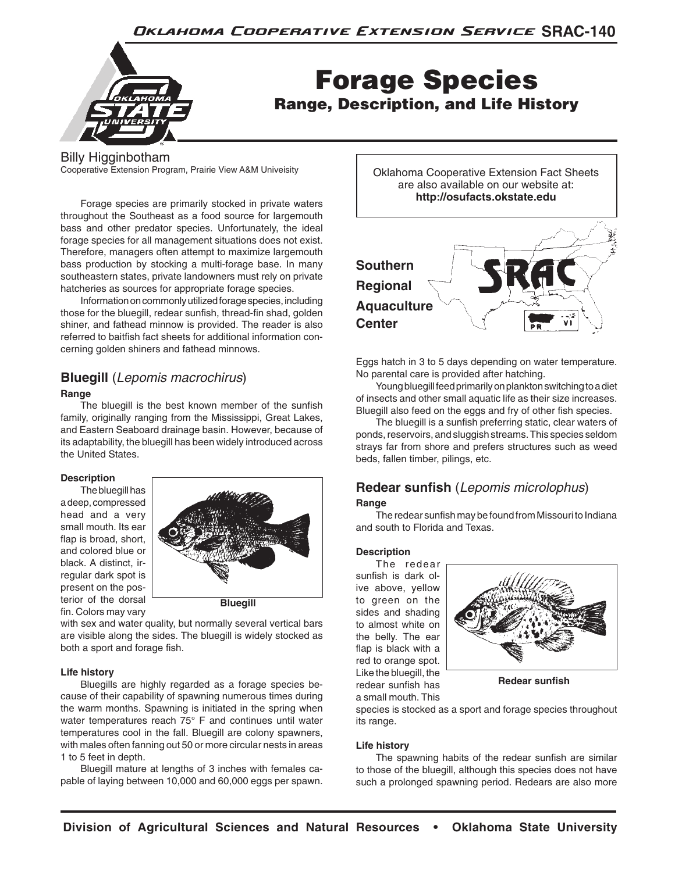

# Forage Species Range, Description, and Life History

Billy Higginbotham

Cooperative Extension Program, Prairie View A&M Univeisity

Forage species are primarily stocked in private waters throughout the Southeast as a food source for largemouth bass and other predator species. Unfortunately, the ideal forage species for all management situations does not exist. Therefore, managers often attempt to maximize largemouth bass production by stocking a multi-forage base. In many southeastern states, private landowners must rely on private hatcheries as sources for appropriate forage species.

Information on commonly utilized forage species, including those for the bluegill, redear sunfish, thread-fin shad, golden shiner, and fathead minnow is provided. The reader is also referred to baitfish fact sheets for additional information concerning golden shiners and fathead minnows.

# **Bluegill** (*Lepomis macrochirus*)

### **Range**

The bluegill is the best known member of the sunfish family, originally ranging from the Mississippi, Great Lakes, and Eastern Seaboard drainage basin. However, because of its adaptability, the bluegill has been widely introduced across the United States.

# **Description**

The bluegill has a deep, compressed head and a very small mouth. Its ear flap is broad, short, and colored blue or black. A distinct, irregular dark spot is present on the posterior of the dorsal fin. Colors may vary



**Bluegill**

with sex and water quality, but normally several vertical bars are visible along the sides. The bluegill is widely stocked as both a sport and forage fish.

# **Life history**

Bluegills are highly regarded as a forage species because of their capability of spawning numerous times during the warm months. Spawning is initiated in the spring when water temperatures reach 75° F and continues until water temperatures cool in the fall. Bluegill are colony spawners, with males often fanning out 50 or more circular nests in areas 1 to 5 feet in depth.

Bluegill mature at lengths of 3 inches with females capable of laying between 10,000 and 60,000 eggs per spawn.





Eggs hatch in 3 to 5 days depending on water temperature. No parental care is provided after hatching.

Young bluegill feed primarily on plankton switching to a diet of insects and other small aquatic life as their size increases. Bluegill also feed on the eggs and fry of other fish species.

The bluegill is a sunfish preferring static, clear waters of ponds, reservoirs, and sluggish streams. This species seldom strays far from shore and prefers structures such as weed beds, fallen timber, pilings, etc.

# **Redear sunfish** (*Lepomis microlophus*) **Range**

The redear sunfish may be found from Missouri to Indiana and south to Florida and Texas.

# **Description**

The redear sunfish is dark olive above, yellow to green on the sides and shading to almost white on the belly. The ear flap is black with a red to orange spot. Like the bluegill, the redear sunfish has a small mouth. This



**Redear sunfish**

species is stocked as a sport and forage species throughout its range.

# **Life history**

The spawning habits of the redear sunfish are similar to those of the bluegill, although this species does not have such a prolonged spawning period. Redears are also more